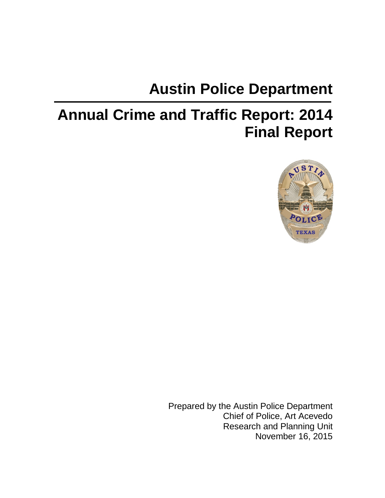# **Austin Police Department**

# **Annual Crime and Traffic Report: 2014 Final Report**



Prepared by the Austin Police Department Chief of Police, Art Acevedo Research and Planning Unit November 16, 2015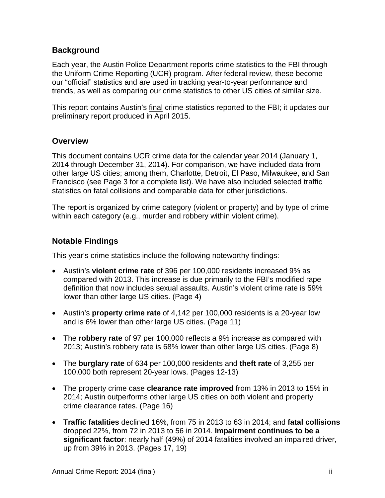#### **Background**

Each year, the Austin Police Department reports crime statistics to the FBI through the Uniform Crime Reporting (UCR) program. After federal review, these become our "official" statistics and are used in tracking year-to-year performance and trends, as well as comparing our crime statistics to other US cities of similar size.

This report contains Austin's final crime statistics reported to the FBI; it updates our preliminary report produced in April 2015.

#### **Overview**

This document contains UCR crime data for the calendar year 2014 (January 1, 2014 through December 31, 2014). For comparison, we have included data from other large US cities; among them, Charlotte, Detroit, El Paso, Milwaukee, and San Francisco (see Page 3 for a complete list). We have also included selected traffic statistics on fatal collisions and comparable data for other jurisdictions.

The report is organized by crime category (violent or property) and by type of crime within each category (e.g., murder and robbery within violent crime).

#### **Notable Findings**

This year's crime statistics include the following noteworthy findings:

- Austin's **violent crime rate** of 396 per 100,000 residents increased 9% as compared with 2013. This increase is due primarily to the FBI's modified rape definition that now includes sexual assaults. Austin's violent crime rate is 59% lower than other large US cities. (Page 4)
- Austin's **property crime rate** of 4,142 per 100,000 residents is a 20-year low and is 6% lower than other large US cities. (Page 11)
- The **robbery rate** of 97 per 100,000 reflects a 9% increase as compared with 2013; Austin's robbery rate is 68% lower than other large US cities. (Page 8)
- The **burglary rate** of 634 per 100,000 residents and **theft rate** of 3,255 per 100,000 both represent 20-year lows. (Pages 12-13)
- The property crime case **clearance rate improved** from 13% in 2013 to 15% in 2014; Austin outperforms other large US cities on both violent and property crime clearance rates. (Page 16)
- **Traffic fatalities** declined 16%, from 75 in 2013 to 63 in 2014; and **fatal collisions** dropped 22%, from 72 in 2013 to 56 in 2014. **Impairment continues to be a significant factor**: nearly half (49%) of 2014 fatalities involved an impaired driver, up from 39% in 2013. (Pages 17, 19)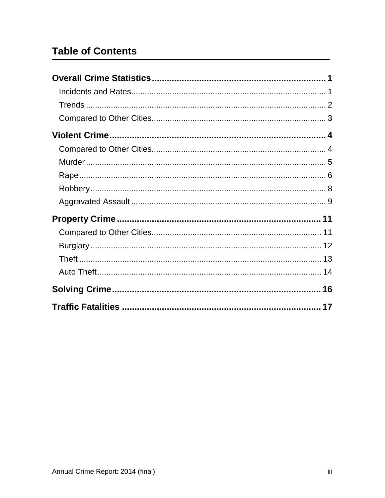# **Table of Contents**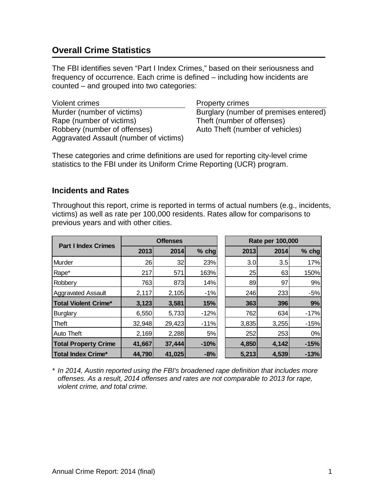# <span id="page-3-0"></span>**Overall Crime Statistics**

The FBI identifies seven "Part I Index Crimes," based on their seriousness and frequency of occurrence. Each crime is defined – including how incidents are counted – and grouped into two categories:

Violent crimes **Property crimes** Murder (number of victims) Burglary (number of premises entered) Rape (number of victims) Theft (number of offenses) Robbery (number of offenses) Auto Theft (number of vehicles) Aggravated Assault (number of victims)

These categories and crime definitions are used for reporting city-level crime statistics to the FBI under its Uniform Crime Reporting (UCR) program.

#### <span id="page-3-1"></span>**Incidents and Rates**

Throughout this report, crime is reported in terms of actual numbers (e.g., incidents, victims) as well as rate per 100,000 residents. Rates allow for comparisons to previous years and with other cities.

| <b>Part I Index Crimes</b>  | <b>Offenses</b> |        |         | Rate per 100,000 |       |        |
|-----------------------------|-----------------|--------|---------|------------------|-------|--------|
|                             | 2013            | 2014   | $%$ chg | 2013             | 2014  | % chg  |
| <b>I</b> Murder             | 26              | 32     | 23%     | 3.0              | 3.5   | 17%    |
| Rape*                       | 217             | 571    | 163%    | 25               | 63    | 150%   |
| Robbery                     | 763             | 873    | 14%     | 89               | 97    | 9%     |
| <b>Aggravated Assault</b>   | 2,117           | 2,105  | $-1%$   | 246              | 233   | $-5%$  |
| <b>Total Violent Crime*</b> | 3,123           | 3,581  | 15%     | 363              | 396   | 9%     |
| <b>Burglary</b>             | 6,550           | 5,733  | $-12%$  | 762              | 634   | $-17%$ |
| Theft                       | 32,948          | 29,423 | $-11%$  | 3,835            | 3,255 | $-15%$ |
| <b>Auto Theft</b>           | 2,169           | 2,288  | 5%      | 252              | 253   | 0%     |
| <b>Total Property Crime</b> | 41,667          | 37,444 | $-10%$  | 4,850            | 4,142 | $-15%$ |
| Total Index Crime*          | 44,790          | 41,025 | $-8%$   | 5,213            | 4,539 | $-13%$ |

*\* In 2014, Austin reported using the FBI's broadened rape definition that includes more offenses. As a result, 2014 offenses and rates are not comparable to 2013 for rape, violent crime, and total crime.*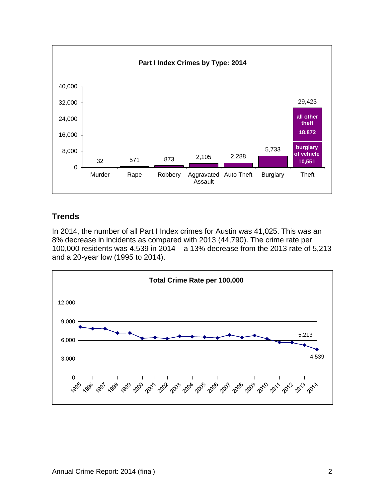

#### <span id="page-4-0"></span>**Trends**

In 2014, the number of all Part I Index crimes for Austin was 41,025. This was an 8% decrease in incidents as compared with 2013 (44,790). The crime rate per 100,000 residents was 4,539 in 2014 – a 13% decrease from the 2013 rate of 5,213 and a 20-year low (1995 to 2014).

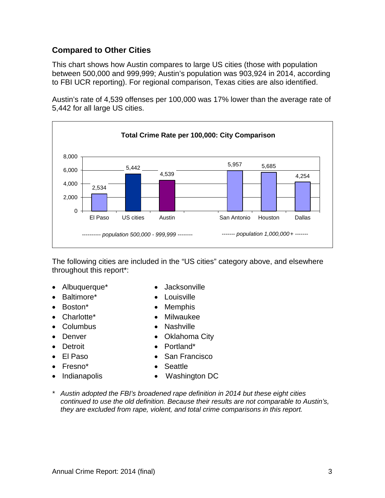#### <span id="page-5-0"></span>**Compared to Other Cities**

This chart shows how Austin compares to large US cities (those with population between 500,000 and 999,999; Austin's population was 903,924 in 2014, according to FBI UCR reporting). For regional comparison, Texas cities are also identified.

Austin's rate of 4,539 offenses per 100,000 was 17% lower than the average rate of 5,442 for all large US cities.



The following cities are included in the "US cities" category above, and elsewhere throughout this report\*:

- Albuquerque\* Jacksonville
- Baltimore\* Louisville
- 
- 
- 
- 
- 
- 
- 
- 
- 
- 
- Boston\* Memphis
- Charlotte\* Milwaukee
- Columbus Nashville
- **Denver** Oklahoma City
- **Detroit** Portland\*
- El Paso San Francisco
- Fresno\* Seattle
- Indianapolis Washington DC
- *\* Austin adopted the FBI's broadened rape definition in 2014 but these eight cities continued to use the old definition. Because their results are not comparable to Austin's, they are excluded from rape, violent, and total crime comparisons in this report.*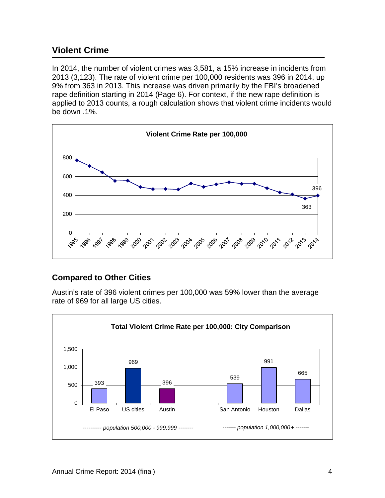## <span id="page-6-0"></span>**Violent Crime**

In 2014, the number of violent crimes was 3,581, a 15% increase in incidents from 2013 (3,123). The rate of violent crime per 100,000 residents was 396 in 2014, up 9% from 363 in 2013. This increase was driven primarily by the FBI's broadened rape definition starting in 2014 (Page 6). For context, if the new rape definition is applied to 2013 counts, a rough calculation shows that violent crime incidents would be down .1%.



#### <span id="page-6-1"></span>**Compared to Other Cities**

Austin's rate of 396 violent crimes per 100,000 was 59% lower than the average rate of 969 for all large US cities.

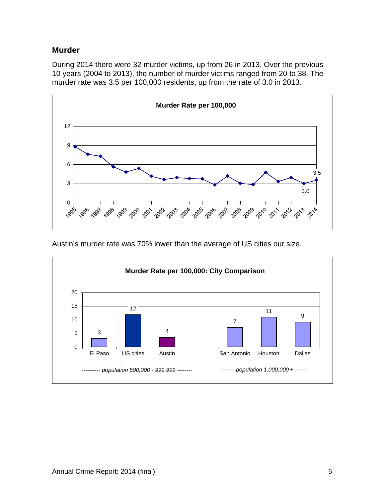#### <span id="page-7-0"></span>**Murder**

During 2014 there were 32 murder victims, up from 26 in 2013. Over the previous 10 years (2004 to 2013), the number of murder victims ranged from 20 to 38. The murder rate was 3.5 per 100,000 residents, up from the rate of 3.0 in 2013.



Austin's murder rate was 70% lower than the average of US cities our size.

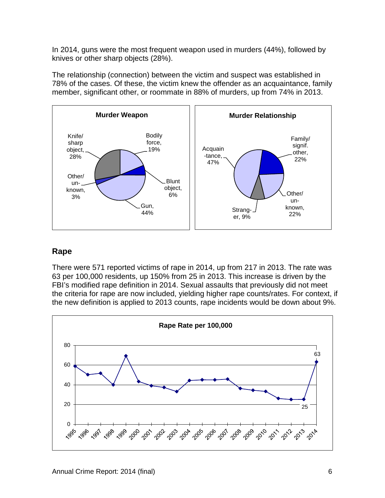In 2014, guns were the most frequent weapon used in murders (44%), followed by knives or other sharp objects (28%).

The relationship (connection) between the victim and suspect was established in 78% of the cases. Of these, the victim knew the offender as an acquaintance, family member, significant other, or roommate in 88% of murders, up from 74% in 2013.



#### <span id="page-8-0"></span>**Rape**

There were 571 reported victims of rape in 2014, up from 217 in 2013. The rate was 63 per 100,000 residents, up 150% from 25 in 2013. This increase is driven by the FBI's modified rape definition in 2014. Sexual assaults that previously did not meet the criteria for rape are now included, yielding higher rape counts/rates. For context, if the new definition is applied to 2013 counts, rape incidents would be down about 9%.

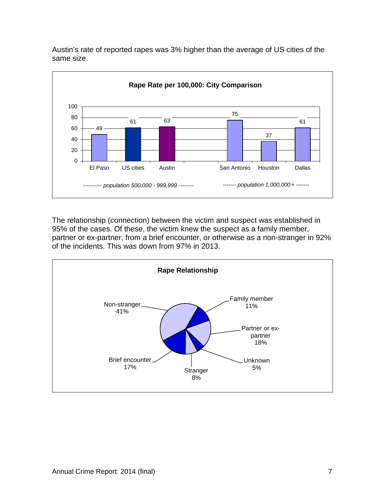

Austin's rate of reported rapes was 3% higher than the average of US cities of the same size.

The relationship (connection) between the victim and suspect was established in 95% of the cases. Of these, the victim knew the suspect as a family member, partner or ex-partner, from a brief encounter, or otherwise as a non-stranger in 92% of the incidents. This was down from 97% in 2013.

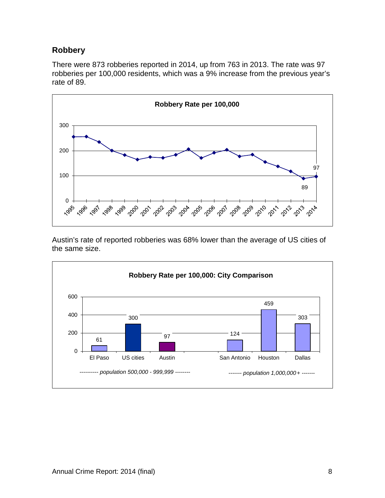#### <span id="page-10-0"></span>**Robbery**

There were 873 robberies reported in 2014, up from 763 in 2013. The rate was 97 robberies per 100,000 residents, which was a 9% increase from the previous year's rate of 89.



Austin's rate of reported robberies was 68% lower than the average of US cities of the same size.

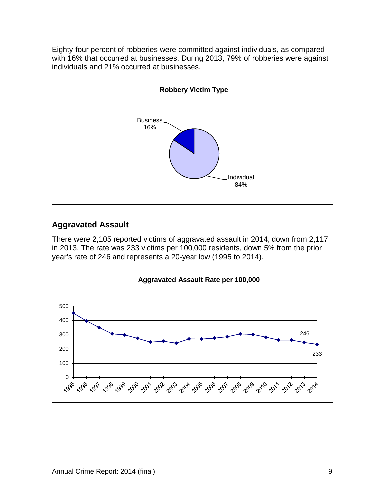Eighty-four percent of robberies were committed against individuals, as compared with 16% that occurred at businesses. During 2013, 79% of robberies were against individuals and 21% occurred at businesses.



## <span id="page-11-0"></span>**Aggravated Assault**

There were 2,105 reported victims of aggravated assault in 2014, down from 2,117 in 2013. The rate was 233 victims per 100,000 residents, down 5% from the prior year's rate of 246 and represents a 20-year low (1995 to 2014).

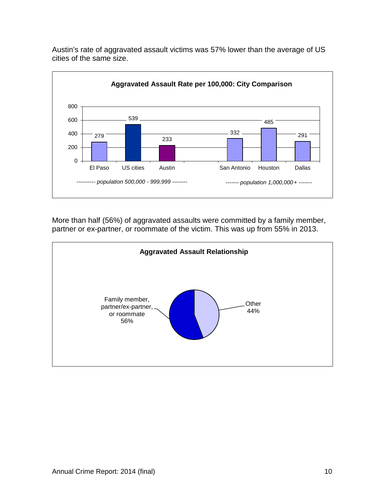

Austin's rate of aggravated assault victims was 57% lower than the average of US cities of the same size.

More than half (56%) of aggravated assaults were committed by a family member, partner or ex-partner, or roommate of the victim. This was up from 55% in 2013.

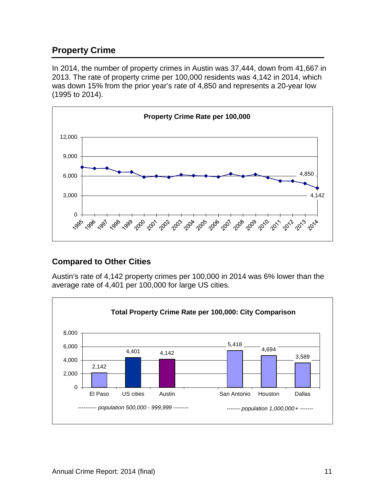# <span id="page-13-0"></span>**Property Crime**

In 2014, the number of property crimes in Austin was 37,444, down from 41,667 in 2013. The rate of property crime per 100,000 residents was 4,142 in 2014, which was down 15% from the prior year's rate of 4,850 and represents a 20-year low (1995 to 2014).



#### <span id="page-13-1"></span>**Compared to Other Cities**

Austin's rate of 4,142 property crimes per 100,000 in 2014 was 6% lower than the average rate of 4,401 per 100,000 for large US cities.

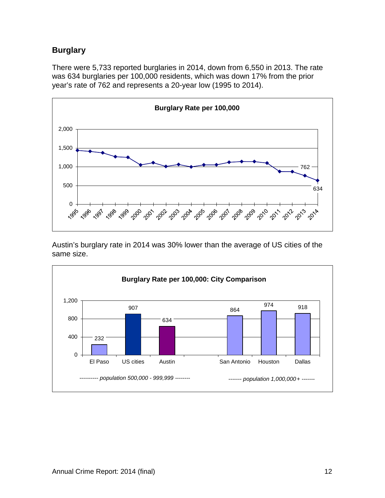# <span id="page-14-0"></span>**Burglary**

There were 5,733 reported burglaries in 2014, down from 6,550 in 2013. The rate was 634 burglaries per 100,000 residents, which was down 17% from the prior year's rate of 762 and represents a 20-year low (1995 to 2014).



Austin's burglary rate in 2014 was 30% lower than the average of US cities of the same size.

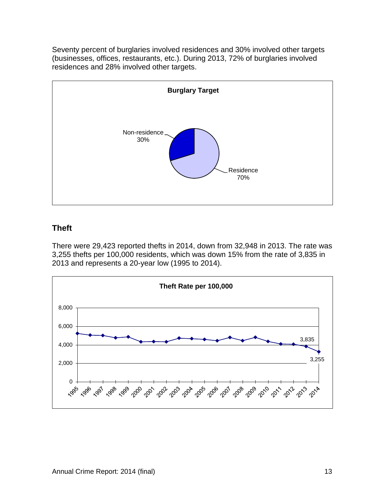Seventy percent of burglaries involved residences and 30% involved other targets (businesses, offices, restaurants, etc.). During 2013, 72% of burglaries involved residences and 28% involved other targets.



## <span id="page-15-0"></span>**Theft**

There were 29,423 reported thefts in 2014, down from 32,948 in 2013. The rate was 3,255 thefts per 100,000 residents, which was down 15% from the rate of 3,835 in 2013 and represents a 20-year low (1995 to 2014).

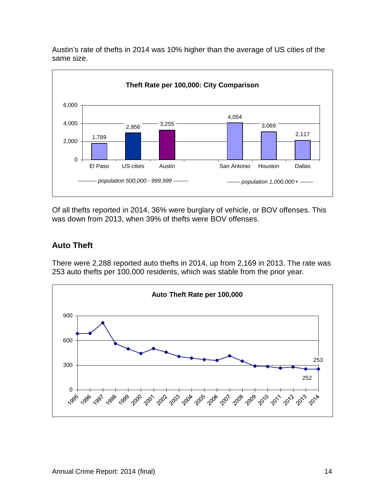Austin's rate of thefts in 2014 was 10% higher than the average of US cities of the same size.



Of all thefts reported in 2014, 36% were burglary of vehicle, or BOV offenses. This was down from 2013, when 39% of thefts were BOV offenses.

# <span id="page-16-0"></span>**Auto Theft**

There were 2,288 reported auto thefts in 2014, up from 2,169 in 2013. The rate was 253 auto thefts per 100,000 residents, which was stable from the prior year.

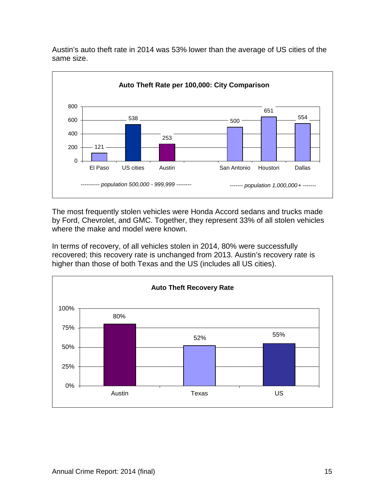

Austin's auto theft rate in 2014 was 53% lower than the average of US cities of the same size.

The most frequently stolen vehicles were Honda Accord sedans and trucks made by Ford, Chevrolet, and GMC. Together, they represent 33% of all stolen vehicles where the make and model were known.

In terms of recovery, of all vehicles stolen in 2014, 80% were successfully recovered; this recovery rate is unchanged from 2013. Austin's recovery rate is higher than those of both Texas and the US (includes all US cities).

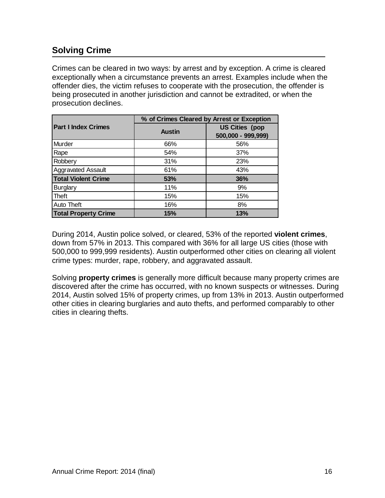# <span id="page-18-0"></span>**Solving Crime**

Crimes can be cleared in two ways: by arrest and by exception. A crime is cleared exceptionally when a circumstance prevents an arrest. Examples include when the offender dies, the victim refuses to cooperate with the prosecution, the offender is being prosecuted in another jurisdiction and cannot be extradited, or when the prosecution declines.

|                             | % of Crimes Cleared by Arrest or Exception |                                             |  |  |  |  |
|-----------------------------|--------------------------------------------|---------------------------------------------|--|--|--|--|
| <b>Part I Index Crimes</b>  | <b>Austin</b>                              | <b>US Cities (pop</b><br>500,000 - 999,999) |  |  |  |  |
| Murder                      | 66%                                        | 56%                                         |  |  |  |  |
| Rape                        | 54%                                        | 37%                                         |  |  |  |  |
| Robbery                     | 31%                                        | 23%                                         |  |  |  |  |
| <b>Aggravated Assault</b>   | 61%                                        | 43%                                         |  |  |  |  |
| <b>Total Violent Crime</b>  | 53%                                        | 36%                                         |  |  |  |  |
| <b>Burglary</b>             | 11%                                        | 9%                                          |  |  |  |  |
| Theft                       | 15%                                        | 15%                                         |  |  |  |  |
| <b>Auto Theft</b>           | 16%                                        | 8%                                          |  |  |  |  |
| <b>Total Property Crime</b> | 15%                                        | 13%                                         |  |  |  |  |

During 2014, Austin police solved, or cleared, 53% of the reported **violent crimes**, down from 57% in 2013. This compared with 36% for all large US cities (those with 500,000 to 999,999 residents). Austin outperformed other cities on clearing all violent crime types: murder, rape, robbery, and aggravated assault.

Solving **property crimes** is generally more difficult because many property crimes are discovered after the crime has occurred, with no known suspects or witnesses. During 2014, Austin solved 15% of property crimes, up from 13% in 2013. Austin outperformed other cities in clearing burglaries and auto thefts, and performed comparably to other cities in clearing thefts.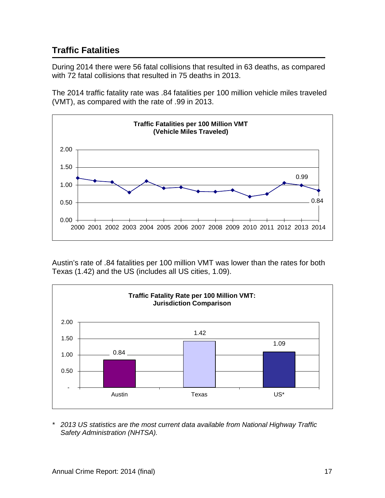# <span id="page-19-0"></span>**Traffic Fatalities**

During 2014 there were 56 fatal collisions that resulted in 63 deaths, as compared with 72 fatal collisions that resulted in 75 deaths in 2013.

The 2014 traffic fatality rate was .84 fatalities per 100 million vehicle miles traveled (VMT), as compared with the rate of .99 in 2013.



Austin's rate of .84 fatalities per 100 million VMT was lower than the rates for both Texas (1.42) and the US (includes all US cities, 1.09).



*\* 2013 US statistics are the most current data available from National Highway Traffic Safety Administration (NHTSA).*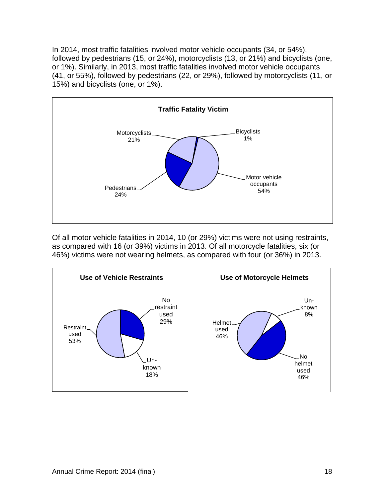In 2014, most traffic fatalities involved motor vehicle occupants (34, or 54%), followed by pedestrians (15, or 24%), motorcyclists (13, or 21%) and bicyclists (one, or 1%). Similarly, in 2013, most traffic fatalities involved motor vehicle occupants (41, or 55%), followed by pedestrians (22, or 29%), followed by motorcyclists (11, or 15%) and bicyclists (one, or 1%).



Of all motor vehicle fatalities in 2014, 10 (or 29%) victims were not using restraints, as compared with 16 (or 39%) victims in 2013. Of all motorcycle fatalities, six (or 46%) victims were not wearing helmets, as compared with four (or 36%) in 2013.

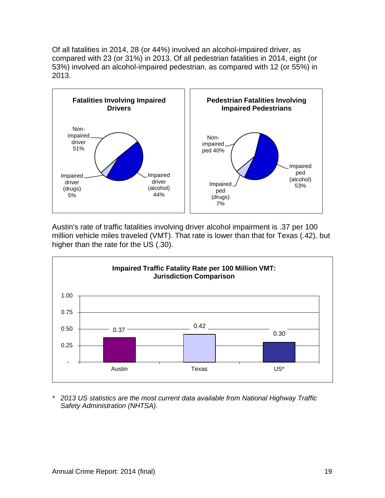Of all fatalities in 2014, 28 (or 44%) involved an alcohol-impaired driver, as compared with 23 (or 31%) in 2013. Of all pedestrian fatalities in 2014, eight (or 53%) involved an alcohol-impaired pedestrian, as compared with 12 (or 55%) in 2013.



Austin's rate of traffic fatalities involving driver alcohol impairment is .37 per 100 million vehicle miles traveled (VMT). That rate is lower than that for Texas (.42), but higher than the rate for the US (.30).



*\* 2013 US statistics are the most current data available from National Highway Traffic Safety Administration (NHTSA).*